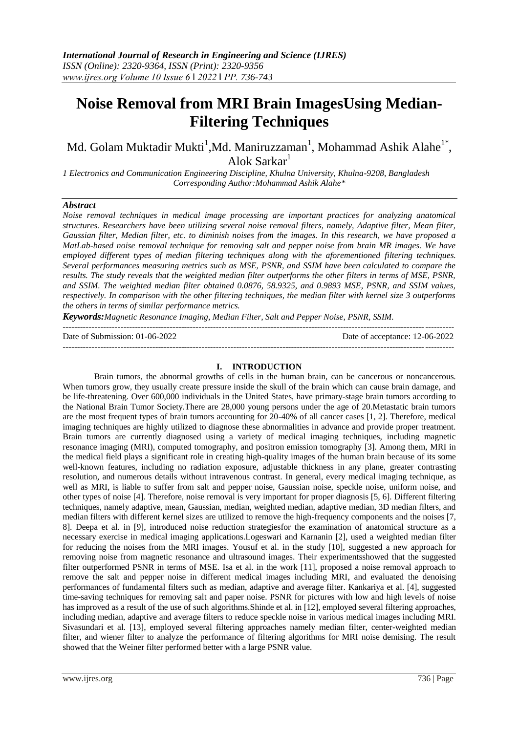# **Noise Removal from MRI Brain ImagesUsing Median-Filtering Techniques**

Md. Golam Muktadir Mukti<sup>1</sup>,Md. Maniruzzaman<sup>1</sup>, Mohammad Ashik Alahe<sup>1\*</sup>, Alok Sarkar<sup>1</sup>

*1 Electronics and Communication Engineering Discipline, Khulna University, Khulna-9208, Bangladesh Corresponding Author:Mohammad Ashik Alahe\**

## *Abstract*

*Noise removal techniques in medical image processing are important practices for analyzing anatomical structures. Researchers have been utilizing several noise removal filters, namely, Adaptive filter, Mean filter, Gaussian filter, Median filter, etc. to diminish noises from the images. In this research, we have proposed a MatLab-based noise removal technique for removing salt and pepper noise from brain MR images. We have employed different types of median filtering techniques along with the aforementioned filtering techniques. Several performances measuring metrics such as MSE, PSNR, and SSIM have been calculated to compare the results. The study reveals that the weighted median filter outperforms the other filters in terms of MSE, PSNR, and SSIM. The weighted median filter obtained 0.0876, 58.9325, and 0.9893 MSE, PSNR, and SSIM values, respectively. In comparison with the other filtering techniques, the median filter with kernel size 3 outperforms the others in terms of similar performance metrics.*

*Keywords:Magnetic Resonance Imaging, Median Filter, Salt and Pepper Noise, PSNR, SSIM.*

---------------------------------------------------------------------------------------------------------------------------------------

Date of Submission: 01-06-2022 Date of acceptance: 12-06-2022

## **I. INTRODUCTION**

---------------------------------------------------------------------------------------------------------------------------------------

Brain tumors, the abnormal growths of cells in the human brain, can be cancerous or noncancerous. When tumors grow, they usually create pressure inside the skull of the brain which can cause brain damage, and be life-threatening. Over 600,000 individuals in the United States, have primary-stage brain tumors according to the National Brain Tumor Society.There are 28,000 young persons under the age of 20.Metastatic brain tumors are the most frequent types of brain tumors accounting for 20-40% of all cancer cases [1, 2]. Therefore, medical imaging techniques are highly utilized to diagnose these abnormalities in advance and provide proper treatment. Brain tumors are currently diagnosed using a variety of medical imaging techniques, including magnetic resonance imaging (MRI), computed tomography, and positron emission tomography [3]. Among them, MRI in the medical field plays a significant role in creating high-quality images of the human brain because of its some well-known features, including no radiation exposure, adjustable thickness in any plane, greater contrasting resolution, and numerous details without intravenous contrast. In general, every medical imaging technique, as well as MRI, is liable to suffer from salt and pepper noise, Gaussian noise, speckle noise, uniform noise, and other types of noise [4]. Therefore, noise removal is very important for proper diagnosis [5, 6]. Different filtering techniques, namely adaptive, mean, Gaussian, median, weighted median, adaptive median, 3D median filters, and median filters with different kernel sizes are utilized to remove the high-frequency components and the noises [7, 8]. Deepa et al. in [9], introduced noise reduction strategiesfor the examination of anatomical structure as a necessary exercise in medical imaging applications.Logeswari and Karnanin [2], used a weighted median filter for reducing the noises from the MRI images. Yousuf et al. in the study [10], suggested a new approach for removing noise from magnetic resonance and ultrasound images. Their experimentsshowed that the suggested filter outperformed PSNR in terms of MSE. Isa et al. in the work [11], proposed a noise removal approach to remove the salt and pepper noise in different medical images including MRI, and evaluated the denoising performances of fundamental filters such as median, adaptive and average filter. Kankariya et al. [4], suggested time-saving techniques for removing salt and paper noise. PSNR for pictures with low and high levels of noise has improved as a result of the use of such algorithms. Shinde et al. in [12], employed several filtering approaches, including median, adaptive and average filters to reduce speckle noise in various medical images including MRI. Sivasundari et al. [13], employed several filtering approaches namely median filter, center-weighted median filter, and wiener filter to analyze the performance of filtering algorithms for MRI noise demising. The result showed that the Weiner filter performed better with a large PSNR value.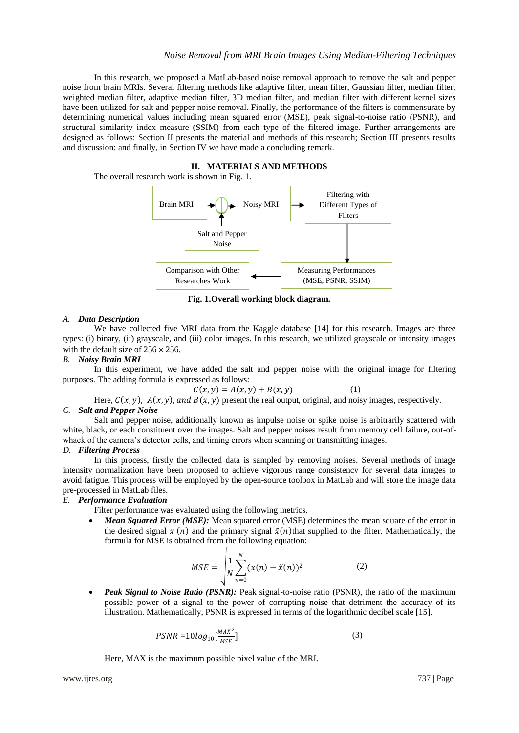In this research, we proposed a MatLab-based noise removal approach to remove the salt and pepper noise from brain MRIs. Several filtering methods like adaptive filter, mean filter, Gaussian filter, median filter, weighted median filter, adaptive median filter, 3D median filter, and median filter with different kernel sizes have been utilized for salt and pepper noise removal. Finally, the performance of the filters is commensurate by determining numerical values including mean squared error (MSE), peak signal-to-noise ratio (PSNR), and structural similarity index measure (SSIM) from each type of the filtered image. Further arrangements are designed as follows: Section II presents the material and methods of this research; Section III presents results and discussion; and finally, in Section IV we have made a concluding remark.

## **II. MATERIALS AND METHODS**

The overall research work is shown in Fig. 1.



**Fig. 1.Overall working block diagram.**

## *A. Data Description*

We have collected five MRI data from the Kaggle database [14] for this research. Images are three types: (i) binary, (ii) grayscale, and (iii) color images. In this research, we utilized grayscale or intensity images with the default size of  $256 \times 256$ .

## *B. Noisy Brain MRI*

In this experiment, we have added the salt and pepper noise with the original image for filtering purposes. The adding formula is expressed as follows:

$$
C(x, y) = A(x, y) + B(x, y) \tag{1}
$$

Here,  $C(x, y)$ ,  $A(x, y)$ , and  $B(x, y)$  present the real output, original, and noisy images, respectively.

### *C. Salt and Pepper Noise*

Salt and pepper noise, additionally known as impulse noise or spike noise is arbitrarily scattered with white, black, or each constituent over the images. Salt and pepper noises result from memory cell failure, out-ofwhack of the camera's detector cells, and timing errors when scanning or transmitting images.

#### *D. Filtering Process*

In this process, firstly the collected data is sampled by removing noises. Several methods of image intensity normalization have been proposed to achieve vigorous range consistency for several data images to avoid fatigue. This process will be employed by the open-source toolbox in MatLab and will store the image data pre-processed in MatLab files.

## *E. Performance Evaluation*

Filter performance was evaluated using the following metrics.

 *Mean Squared Error (MSE):* Mean squared error (MSE) determines the mean square of the error in the desired signal  $x(n)$  and the primary signal  $\tilde{x}(n)$  that supplied to the filter. Mathematically, the formula for MSE is obtained from the following equation:

$$
MSE = \sqrt{\frac{1}{N} \sum_{n=0}^{N} (x(n) - \tilde{x}(n))^2}
$$
 (2)

*Peak Signal to Noise Ratio (PSNR):* Peak signal-to-noise ratio (PSNR), the ratio of the maximum possible power of a signal to the power of corrupting noise that detriment the accuracy of its illustration. Mathematically, PSNR is expressed in terms of the logarithmic decibel scale [15].

$$
PSNR = 10log_{10}\left[\frac{MAX^2}{MSE}\right]
$$
\n(3)

Here, MAX is the maximum possible pixel value of the MRI.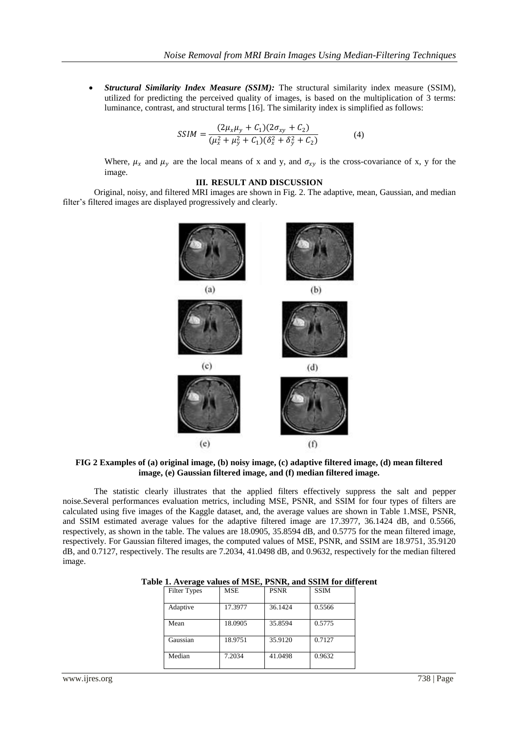*Structural Similarity Index Measure (SSIM):* The structural similarity index measure (SSIM), utilized for predicting the perceived quality of images, is based on the multiplication of 3 terms: luminance, contrast, and structural terms [16]. The similarity index is simplified as follows:

$$
SSIM = \frac{(2\mu_x\mu_y + C_1)(2\sigma_{xy} + C_2)}{(\mu_x^2 + \mu_y^2 + C_1)(\delta_x^2 + \delta_y^2 + C_2)}
$$
(4)

Where,  $\mu_x$  and  $\mu_y$  are the local means of x and y, and  $\sigma_{xy}$  is the cross-covariance of x, y for the image.

### **III. RESULT AND DISCUSSION**

Original, noisy, and filtered MRI images are shown in Fig. 2. The adaptive, mean, Gaussian, and median filter's filtered images are displayed progressively and clearly.



**FIG 2 Examples of (a) original image, (b) noisy image, (c) adaptive filtered image, (d) mean filtered image, (e) Gaussian filtered image, and (f) median filtered image.**

The statistic clearly illustrates that the applied filters effectively suppress the salt and pepper noise.Several performances evaluation metrics, including MSE, PSNR, and SSIM for four types of filters are calculated using five images of the Kaggle dataset, and, the average values are shown in Table 1.MSE, PSNR, and SSIM estimated average values for the adaptive filtered image are 17.3977, 36.1424 dB, and 0.5566, respectively, as shown in the table. The values are 18.0905, 35.8594 dB, and 0.5775 for the mean filtered image, respectively. For Gaussian filtered images, the computed values of MSE, PSNR, and SSIM are 18.9751, 35.9120 dB, and 0.7127, respectively. The results are 7.2034, 41.0498 dB, and 0.9632, respectively for the median filtered image.

| <b>Filter Types</b> | <b>MSE</b> | <b>PSNR</b> | <b>SSIM</b> |
|---------------------|------------|-------------|-------------|
| Adaptive            | 17.3977    | 36.1424     | 0.5566      |
| Mean                | 18.0905    | 35.8594     | 0.5775      |
| Gaussian            | 18.9751    | 35.9120     | 0.7127      |
| Median              | 7.2034     | 41.0498     | 0.9632      |

|  | Table 1. Average values of MSE, PSNR, and SSIM for different |  |  |  |  |  |  |
|--|--------------------------------------------------------------|--|--|--|--|--|--|
|--|--------------------------------------------------------------|--|--|--|--|--|--|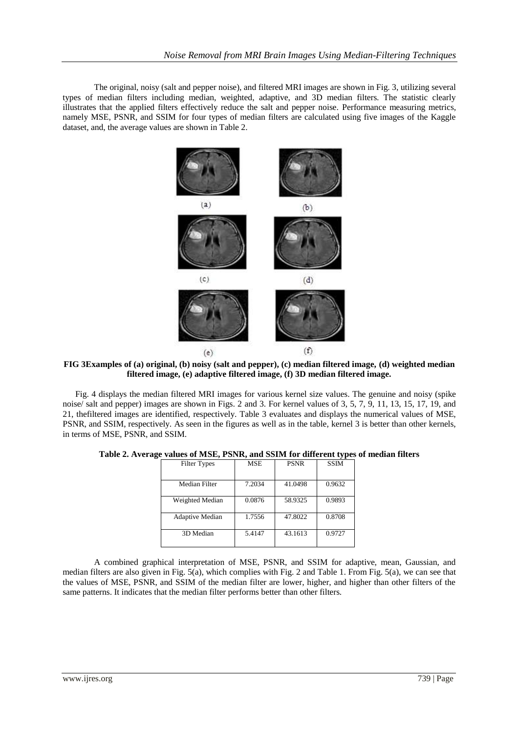The original, noisy (salt and pepper noise), and filtered MRI images are shown in Fig. 3, utilizing several types of median filters including median, weighted, adaptive, and 3D median filters. The statistic clearly illustrates that the applied filters effectively reduce the salt and pepper noise. Performance measuring metrics, namely MSE, PSNR, and SSIM for four types of median filters are calculated using five images of the Kaggle dataset, and, the average values are shown in Table 2.



**FIG 3Examples of (a) original, (b) noisy (salt and pepper), (c) median filtered image, (d) weighted median filtered image, (e) adaptive filtered image, (f) 3D median filtered image.**

Fig. 4 displays the median filtered MRI images for various kernel size values. The genuine and noisy (spike noise/ salt and pepper) images are shown in Figs. 2 and 3. For kernel values of 3, 5, 7, 9, 11, 13, 15, 17, 19, and 21, thefiltered images are identified, respectively. Table 3 evaluates and displays the numerical values of MSE, PSNR, and SSIM, respectively. As seen in the figures as well as in the table, kernel 3 is better than other kernels, in terms of MSE, PSNR, and SSIM.

| <b>Filter Types</b>    | <b>MSE</b> | <b>PSNR</b> | <b>SSIM</b> |
|------------------------|------------|-------------|-------------|
| Median Filter          | 7.2034     | 41.0498     | 0.9632      |
| Weighted Median        | 0.0876     | 58.9325     | 0.9893      |
| <b>Adaptive Median</b> | 1.7556     | 47.8022     | 0.8708      |
| 3D Median              | 5.4147     | 43.1613     | 0.9727      |

**Table 2. Average values of MSE, PSNR, and SSIM for different types of median filters**

A combined graphical interpretation of MSE, PSNR, and SSIM for adaptive, mean, Gaussian, and median filters are also given in Fig. 5(a), which complies with Fig. 2 and Table 1. From Fig. 5(a), we can see that the values of MSE, PSNR, and SSIM of the median filter are lower, higher, and higher than other filters of the same patterns. It indicates that the median filter performs better than other filters.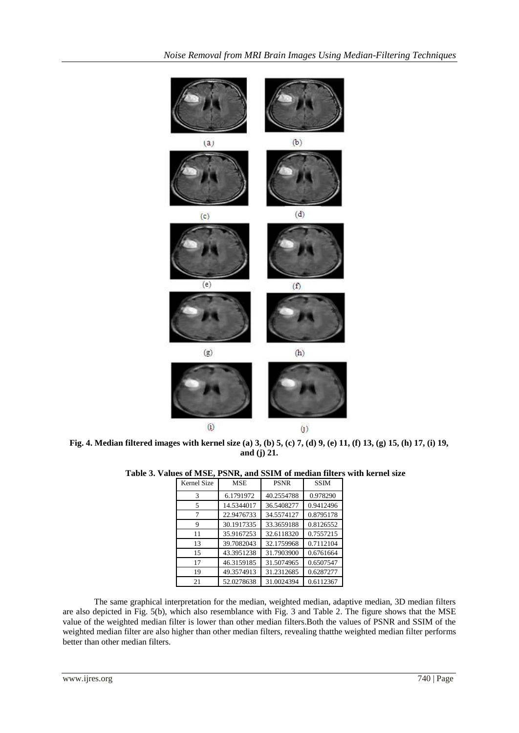

**Fig. 4. Median filtered images with kernel size (a) 3, (b) 5, (c) 7, (d) 9, (e) 11, (f) 13, (g) 15, (h) 17, (i) 19, and (j) 21.**

| <b>Kernel Size</b> | <b>MSE</b> | <b>PSNR</b> | <b>SSIM</b> |
|--------------------|------------|-------------|-------------|
| 3                  | 6.1791972  | 40.2554788  | 0.978290    |
| 5                  | 14.5344017 | 36.5408277  | 0.9412496   |
| 7                  | 22.9476733 | 34.5574127  | 0.8795178   |
| 9                  | 30.1917335 | 33.3659188  | 0.8126552   |
| 11                 | 35.9167253 | 32.6118320  | 0.7557215   |
| 13                 | 39.7082043 | 32.1759968  | 0.7112104   |
| 15                 | 43.3951238 | 31.7903900  | 0.6761664   |
| 17                 | 46.3159185 | 31.5074965  | 0.6507547   |
| 19                 | 49.3574913 | 31.2312685  | 0.6287277   |
| 21                 | 52.0278638 | 31.0024394  | 0.6112367   |

The same graphical interpretation for the median, weighted median, adaptive median, 3D median filters are also depicted in Fig. 5(b), which also resemblance with Fig. 3 and Table 2. The figure shows that the MSE value of the weighted median filter is lower than other median filters.Both the values of PSNR and SSIM of the weighted median filter are also higher than other median filters, revealing thatthe weighted median filter performs better than other median filters.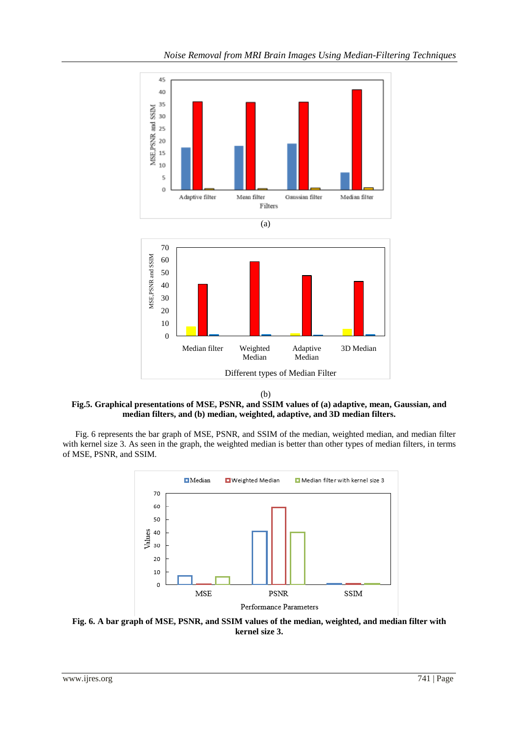

(b)

## **Fig.5. Graphical presentations of MSE, PSNR, and SSIM values of (a) adaptive, mean, Gaussian, and median filters, and (b) median, weighted, adaptive, and 3D median filters.**

Fig. 6 represents the bar graph of MSE, PSNR, and SSIM of the median, weighted median, and median filter with kernel size 3. As seen in the graph, the weighted median is better than other types of median filters, in terms of MSE, PSNR, and SSIM.



**Fig. 6. A bar graph of MSE, PSNR, and SSIM values of the median, weighted, and median filter with kernel size 3.**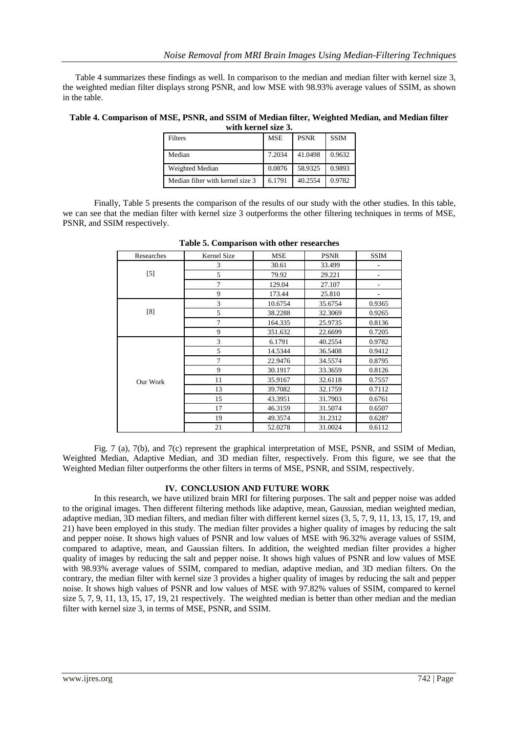Table 4 summarizes these findings as well. In comparison to the median and median filter with kernel size 3, the weighted median filter displays strong PSNR, and low MSE with 98.93% average values of SSIM, as shown in the table.

#### **Table 4. Comparison of MSE, PSNR, and SSIM of Median filter, Weighted Median, and Median filter with kernel size 3.**

| <b>Filters</b>                   | <b>MSE</b> | <b>PSNR</b> | <b>SSIM</b> |
|----------------------------------|------------|-------------|-------------|
| Median                           | 7.2034     | 41.0498     | 0.9632      |
| Weighted Median                  | 0.0876     | 58.9325     | 0.9893      |
| Median filter with kernel size 3 | 6.1791     | 40.2554     | 0.9782      |

Finally, Table 5 presents the comparison of the results of our study with the other studies. In this table, we can see that the median filter with kernel size 3 outperforms the other filtering techniques in terms of MSE, PSNR, and SSIM respectively.

| Researches | Kernel Size    | <b>MSE</b> | <b>PSNR</b> | <b>SSIM</b>              |
|------------|----------------|------------|-------------|--------------------------|
|            | 3              | 30.61      | 33.499      | $\overline{\phantom{a}}$ |
| $[5]$      | 5              | 79.92      | 29.221      | $\overline{\phantom{a}}$ |
|            | $\overline{7}$ | 129.04     | 27.107      | $\overline{\phantom{a}}$ |
|            | 9              | 173.44     | 25.810      |                          |
|            | 3              | 10.6754    | 35.6754     | 0.9365                   |
| [8]        | 5              | 38.2288    | 32.3069     | 0.9265                   |
|            | 7              | 164.335    | 25.9735     | 0.8136                   |
|            | 9              | 351.632    | 22.6699     | 0.7205                   |
|            | 3              | 6.1791     | 40.2554     | 0.9782                   |
|            | 5              | 14.5344    | 36.5408     | 0.9412                   |
|            | 7              | 22.9476    | 34.5574     | 0.8795                   |
| Our Work   | 9              | 30.1917    | 33.3659     | 0.8126                   |
|            | 11             | 35.9167    | 32.6118     | 0.7557                   |
|            | 13             | 39.7082    | 32.1759     | 0.7112                   |
|            | 15             | 43.3951    | 31.7903     | 0.6761                   |
|            | 17             | 46.3159    | 31.5074     | 0.6507                   |
|            | 19             | 49.3574    | 31.2312     | 0.6287                   |
|            | 21             | 52.0278    | 31.0024     | 0.6112                   |

|  | Table 5. Comparison with other researches |  |  |  |
|--|-------------------------------------------|--|--|--|
|--|-------------------------------------------|--|--|--|

Fig. 7 (a), 7(b), and 7(c) represent the graphical interpretation of MSE, PSNR, and SSIM of Median, Weighted Median, Adaptive Median, and 3D median filter, respectively. From this figure, we see that the Weighted Median filter outperforms the other filters in terms of MSE, PSNR, and SSIM, respectively.

## **IV. CONCLUSION AND FUTURE WORK**

In this research, we have utilized brain MRI for filtering purposes. The salt and pepper noise was added to the original images. Then different filtering methods like adaptive, mean, Gaussian, median weighted median, adaptive median, 3D median filters, and median filter with different kernel sizes (3, 5, 7, 9, 11, 13, 15, 17, 19, and 21) have been employed in this study. The median filter provides a higher quality of images by reducing the salt and pepper noise. It shows high values of PSNR and low values of MSE with 96.32% average values of SSIM, compared to adaptive, mean, and Gaussian filters. In addition, the weighted median filter provides a higher quality of images by reducing the salt and pepper noise. It shows high values of PSNR and low values of MSE with 98.93% average values of SSIM, compared to median, adaptive median, and 3D median filters. On the contrary, the median filter with kernel size 3 provides a higher quality of images by reducing the salt and pepper noise. It shows high values of PSNR and low values of MSE with 97.82% values of SSIM, compared to kernel size 5, 7, 9, 11, 13, 15, 17, 19, 21 respectively. The weighted median is better than other median and the median filter with kernel size 3, in terms of MSE, PSNR, and SSIM.